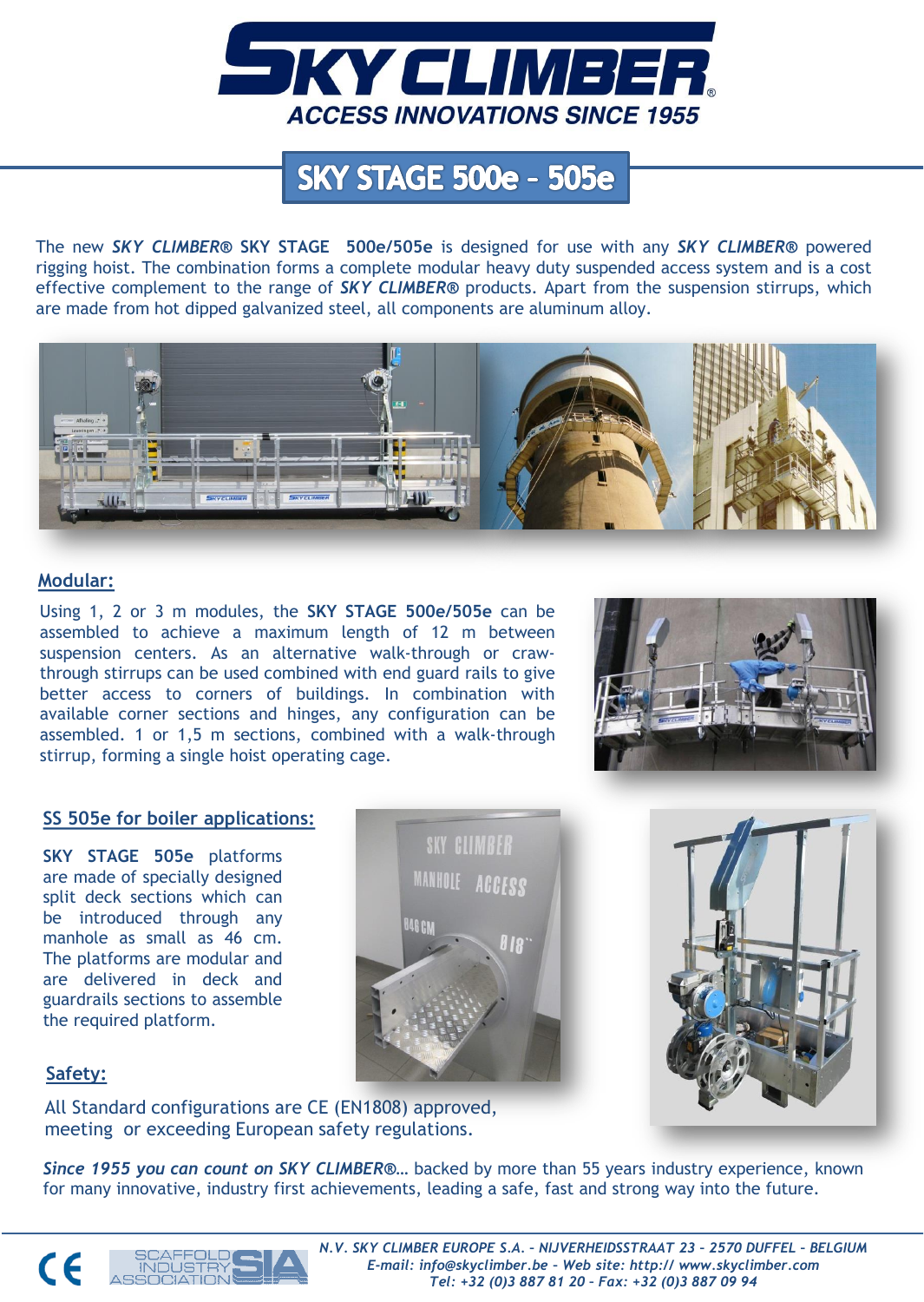

# **SKY STAGE 500e - 505e**

The new *SKY CLIMBER®* **SKY STAGE 500e/505e** is designed for use with any *SKY CLIMBER®* powered rigging hoist. The combination forms a complete modular heavy duty suspended access system and is a cost effective complement to the range of *SKY CLIMBER®* products. Apart from the suspension stirrups, which are made from hot dipped galvanized steel, all components are aluminum alloy.



#### **Modular:**

Using 1, 2 or 3 m modules, the **SKY STAGE 500e/505e** can be assembled to achieve a maximum length of 12 m between suspension centers. As an alternative walk-through or crawthrough stirrups can be used combined with end guard rails to give better access to corners of buildings. In combination with available corner sections and hinges, any configuration can be assembled. 1 or 1,5 m sections, combined with a walk-through stirrup, forming a single hoist operating cage.



#### **SS 505e for boiler applications:**

**SKY STAGE 505e** platforms are made of specially designed split deck sections which can be introduced through any manhole as small as 46 cm. The platforms are modular and are delivered in deck and guardrails sections to assemble the required platform.





### **Safety:**

 $\epsilon$ 

All Standard configurations are CE (EN1808) approved, meeting or exceeding European safety regulations.

*Since 1955 you can count on SKY CLIMBER***®…** backed by more than 55 years industry experience, known for many innovative, industry first achievements, leading a safe, fast and strong way into the future.